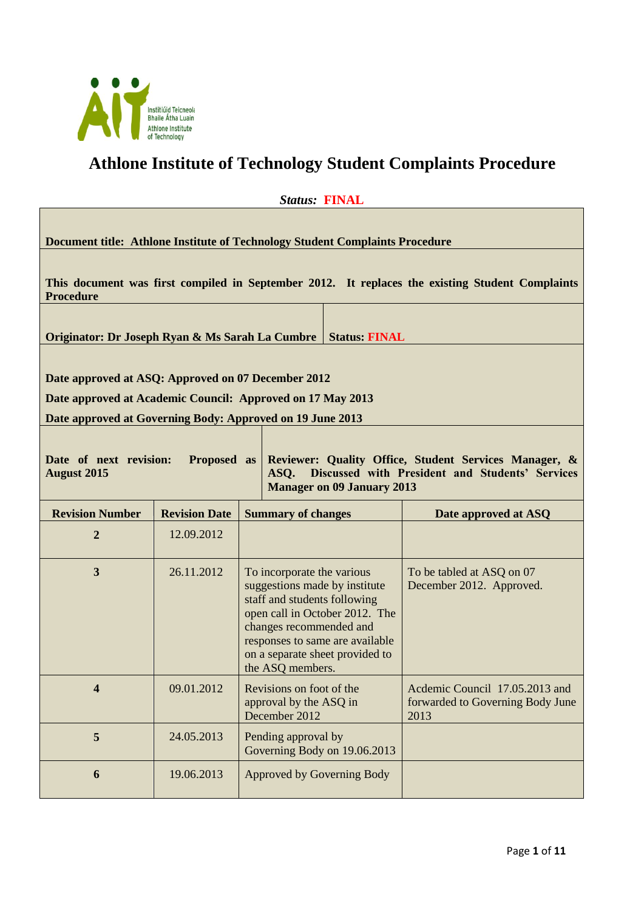

# **Athlone Institute of Technology Student Complaints Procedure**

| atus:<br>г.<br>, |  |
|------------------|--|
|                  |  |

**Document title: Athlone Institute of Technology Student Complaints Procedure**

**This document was first compiled in September 2012. It replaces the existing Student Complaints Procedure**

**Originator: Dr Joseph Ryan & Ms Sarah La Cumbre** | Status: FINAL

**Date approved at ASQ: Approved on 07 December 2012**

**Date approved at Academic Council: Approved on 17 May 2013** 

**Date approved at Governing Body: Approved on 19 June 2013**

**Date of next revision: Proposed as August 2015 Reviewer: Quality Office, Student Services Manager, & ASQ. Discussed with President and Students' Services Manager on 09 January 2013**

| <b>Revision Number</b>  | <b>Revision Date</b> | <b>Summary of changes</b>                                                                                                                                                                                                                          | Date approved at ASQ                                                       |
|-------------------------|----------------------|----------------------------------------------------------------------------------------------------------------------------------------------------------------------------------------------------------------------------------------------------|----------------------------------------------------------------------------|
| 2                       | 12.09.2012           |                                                                                                                                                                                                                                                    |                                                                            |
| 3                       | 26.11.2012           | To incorporate the various<br>suggestions made by institute<br>staff and students following<br>open call in October 2012. The<br>changes recommended and<br>responses to same are available<br>on a separate sheet provided to<br>the ASQ members. | To be tabled at ASQ on 07<br>December 2012. Approved.                      |
| $\overline{\mathbf{4}}$ | 09.01.2012           | Revisions on foot of the<br>approval by the ASQ in<br>December 2012                                                                                                                                                                                | Acdemic Council 17.05.2013 and<br>forwarded to Governing Body June<br>2013 |
| 5                       | 24.05.2013           | Pending approval by<br>Governing Body on 19.06.2013                                                                                                                                                                                                |                                                                            |
| 6                       | 19.06.2013           | Approved by Governing Body                                                                                                                                                                                                                         |                                                                            |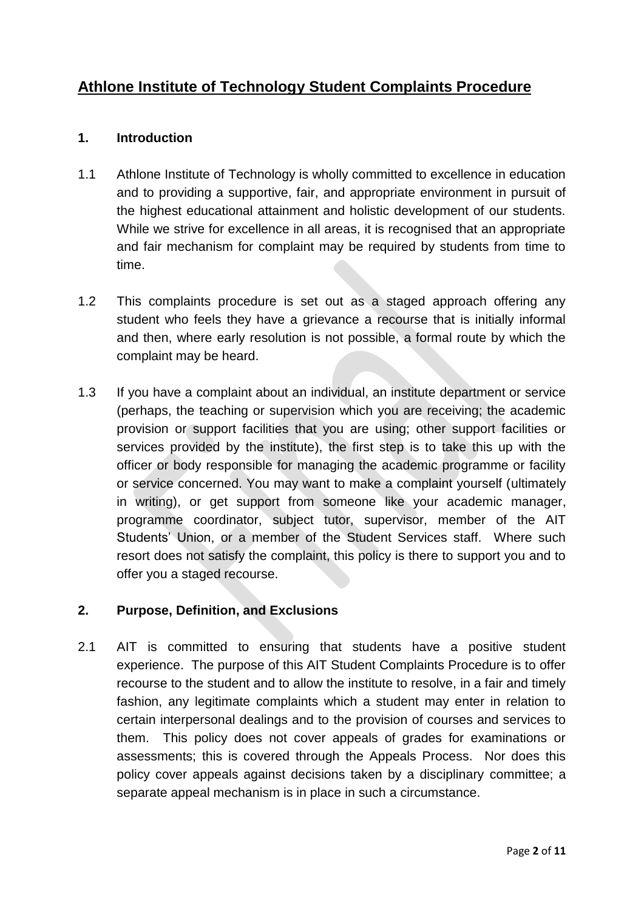# **Athlone Institute of Technology Student Complaints Procedure**

### **1. Introduction**

- 1.1 Athlone Institute of Technology is wholly committed to excellence in education and to providing a supportive, fair, and appropriate environment in pursuit of the highest educational attainment and holistic development of our students. While we strive for excellence in all areas, it is recognised that an appropriate and fair mechanism for complaint may be required by students from time to time.
- 1.2 This complaints procedure is set out as a staged approach offering any student who feels they have a grievance a recourse that is initially informal and then, where early resolution is not possible, a formal route by which the complaint may be heard.
- 1.3 If you have a complaint about an individual, an institute department or service (perhaps, the teaching or supervision which you are receiving; the academic provision or support facilities that you are using; other support facilities or services provided by the institute), the first step is to take this up with the officer or body responsible for managing the academic programme or facility or service concerned. You may want to make a complaint yourself (ultimately in writing), or get support from someone like your academic manager, programme coordinator, subject tutor, supervisor, member of the AIT Students' Union, or a member of the Student Services staff. Where such resort does not satisfy the complaint, this policy is there to support you and to offer you a staged recourse.

#### **2. Purpose, Definition, and Exclusions**

2.1 AIT is committed to ensuring that students have a positive student experience. The purpose of this AIT Student Complaints Procedure is to offer recourse to the student and to allow the institute to resolve, in a fair and timely fashion, any legitimate complaints which a student may enter in relation to certain interpersonal dealings and to the provision of courses and services to them. This policy does not cover appeals of grades for examinations or assessments; this is covered through the Appeals Process. Nor does this policy cover appeals against decisions taken by a disciplinary committee; a separate appeal mechanism is in place in such a circumstance.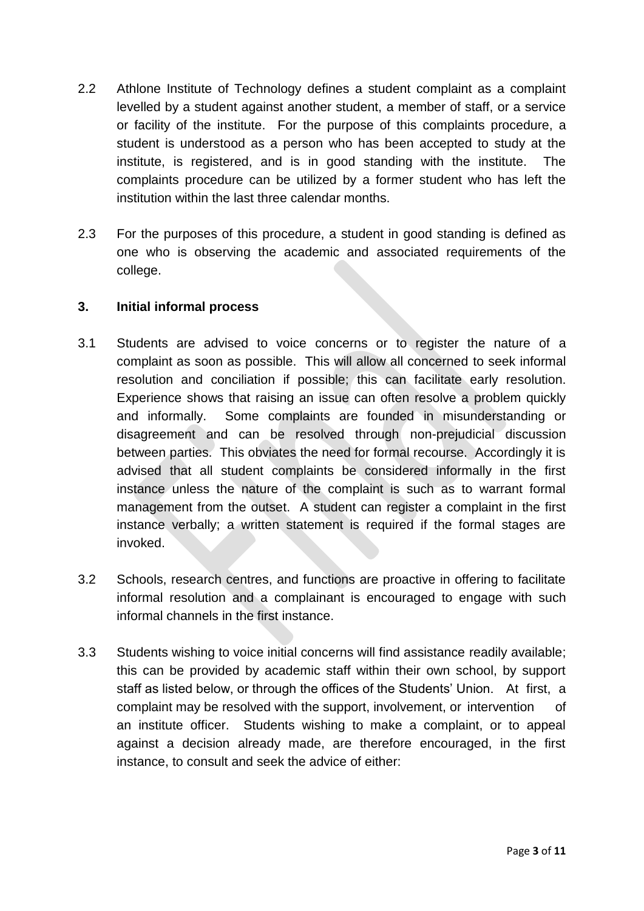- 2.2 Athlone Institute of Technology defines a student complaint as a complaint levelled by a student against another student, a member of staff, or a service or facility of the institute. For the purpose of this complaints procedure, a student is understood as a person who has been accepted to study at the institute, is registered, and is in good standing with the institute. The complaints procedure can be utilized by a former student who has left the institution within the last three calendar months.
- 2.3 For the purposes of this procedure, a student in good standing is defined as one who is observing the academic and associated requirements of the college.

#### **3. Initial informal process**

- 3.1 Students are advised to voice concerns or to register the nature of a complaint as soon as possible. This will allow all concerned to seek informal resolution and conciliation if possible; this can facilitate early resolution. Experience shows that raising an issue can often resolve a problem quickly and informally. Some complaints are founded in misunderstanding or disagreement and can be resolved through non-prejudicial discussion between parties. This obviates the need for formal recourse. Accordingly it is advised that all student complaints be considered informally in the first instance unless the nature of the complaint is such as to warrant formal management from the outset. A student can register a complaint in the first instance verbally; a written statement is required if the formal stages are invoked.
- 3.2 Schools, research centres, and functions are proactive in offering to facilitate informal resolution and a complainant is encouraged to engage with such informal channels in the first instance.
- 3.3 Students wishing to voice initial concerns will find assistance readily available; this can be provided by academic staff within their own school, by support staff as listed below, or through the offices of the Students' Union. At first, a complaint may be resolved with the support, involvement, or intervention of an institute officer. Students wishing to make a complaint, or to appeal against a decision already made, are therefore encouraged, in the first instance, to consult and seek the advice of either: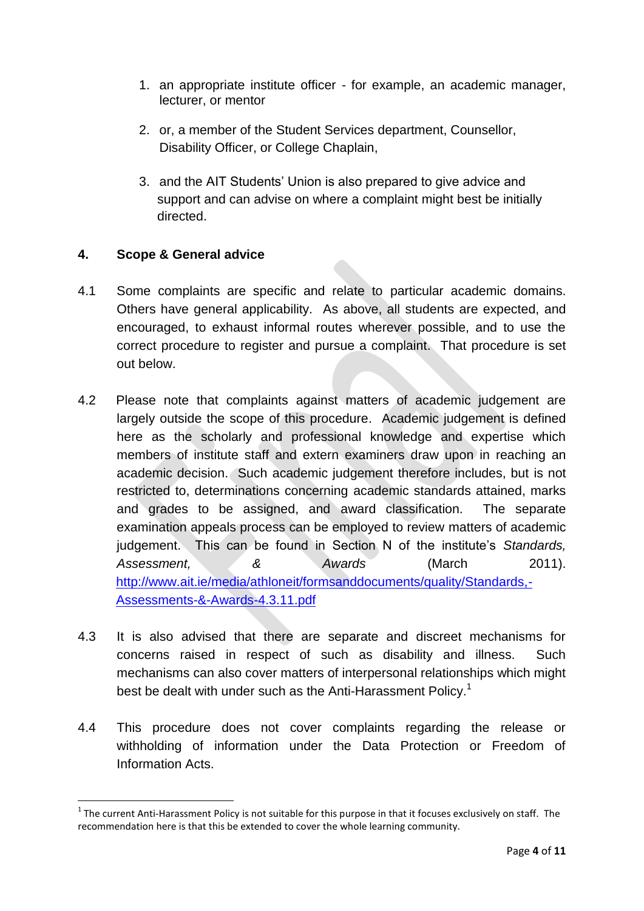- 1. an appropriate institute officer for example, an academic manager, lecturer, or mentor
- 2. or, a member of the Student Services department, Counsellor, Disability Officer, or College Chaplain,
- 3. and the AIT Students' Union is also prepared to give advice and support and can advise on where a complaint might best be initially directed.

# **4. Scope & General advice**

**.** 

- 4.1 Some complaints are specific and relate to particular academic domains. Others have general applicability. As above, all students are expected, and encouraged, to exhaust informal routes wherever possible, and to use the correct procedure to register and pursue a complaint. That procedure is set out below.
- 4.2 Please note that complaints against matters of academic judgement are largely outside the scope of this procedure. Academic judgement is defined here as the scholarly and professional knowledge and expertise which members of institute staff and extern examiners draw upon in reaching an academic decision. Such academic judgement therefore includes, but is not restricted to, determinations concerning academic standards attained, marks and grades to be assigned, and award classification. The separate examination appeals process can be employed to review matters of academic judgement. This can be found in Section N of the institute's *Standards, Assessment, & Awards* (March 2011). [http://www.ait.ie/media/athloneit/formsanddocuments/quality/Standards,-](http://www.ait.ie/media/athloneit/formsanddocuments/quality/Standards,-Assessments-&-Awards-4.3.11.pdf) [Assessments-&-Awards-4.3.11.pdf](http://www.ait.ie/media/athloneit/formsanddocuments/quality/Standards,-Assessments-&-Awards-4.3.11.pdf)
- 4.3 It is also advised that there are separate and discreet mechanisms for concerns raised in respect of such as disability and illness. Such mechanisms can also cover matters of interpersonal relationships which might best be dealt with under such as the Anti-Harassment Policy.<sup>1</sup>
- 4.4 This procedure does not cover complaints regarding the release or withholding of information under the Data Protection or Freedom of Information Acts.

 $1$  The current Anti-Harassment Policy is not suitable for this purpose in that it focuses exclusively on staff. The recommendation here is that this be extended to cover the whole learning community.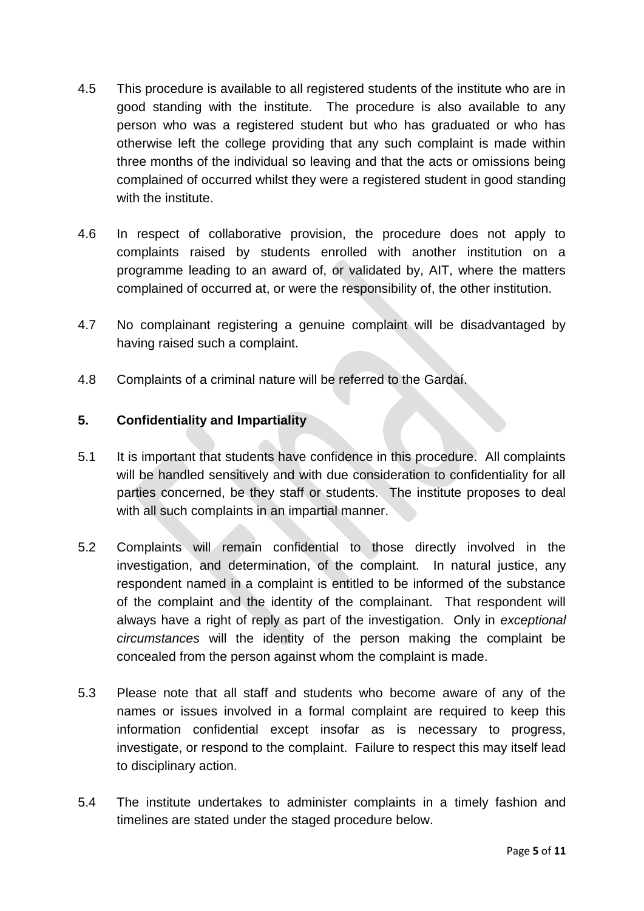- 4.5 This procedure is available to all registered students of the institute who are in good standing with the institute. The procedure is also available to any person who was a registered student but who has graduated or who has otherwise left the college providing that any such complaint is made within three months of the individual so leaving and that the acts or omissions being complained of occurred whilst they were a registered student in good standing with the institute.
- 4.6 In respect of collaborative provision, the procedure does not apply to complaints raised by students enrolled with another institution on a programme leading to an award of, or validated by, AIT, where the matters complained of occurred at, or were the responsibility of, the other institution.
- 4.7 No complainant registering a genuine complaint will be disadvantaged by having raised such a complaint.
- 4.8 Complaints of a criminal nature will be referred to the Gardaí.

### **5. Confidentiality and Impartiality**

- 5.1 It is important that students have confidence in this procedure. All complaints will be handled sensitively and with due consideration to confidentiality for all parties concerned, be they staff or students. The institute proposes to deal with all such complaints in an impartial manner.
- 5.2 Complaints will remain confidential to those directly involved in the investigation, and determination, of the complaint. In natural justice, any respondent named in a complaint is entitled to be informed of the substance of the complaint and the identity of the complainant. That respondent will always have a right of reply as part of the investigation. Only in *exceptional circumstances* will the identity of the person making the complaint be concealed from the person against whom the complaint is made.
- 5.3 Please note that all staff and students who become aware of any of the names or issues involved in a formal complaint are required to keep this information confidential except insofar as is necessary to progress, investigate, or respond to the complaint. Failure to respect this may itself lead to disciplinary action.
- 5.4 The institute undertakes to administer complaints in a timely fashion and timelines are stated under the staged procedure below.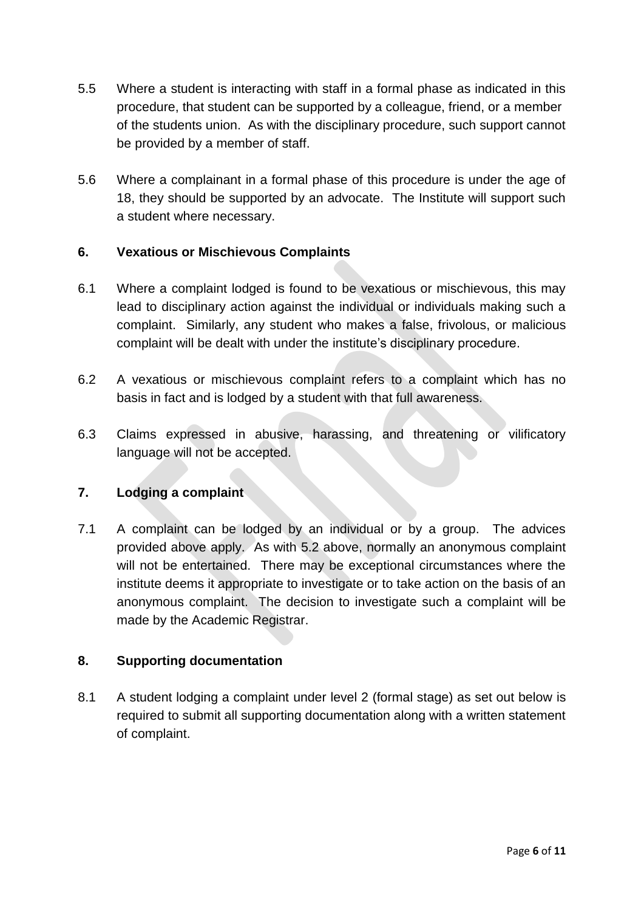- 5.5 Where a student is interacting with staff in a formal phase as indicated in this procedure, that student can be supported by a colleague, friend, or a member of the students union. As with the disciplinary procedure, such support cannot be provided by a member of staff.
- 5.6 Where a complainant in a formal phase of this procedure is under the age of 18, they should be supported by an advocate. The Institute will support such a student where necessary.

# **6. Vexatious or Mischievous Complaints**

- 6.1 Where a complaint lodged is found to be vexatious or mischievous, this may lead to disciplinary action against the individual or individuals making such a complaint. Similarly, any student who makes a false, frivolous, or malicious complaint will be dealt with under the institute's disciplinary procedure.
- 6.2 A vexatious or mischievous complaint refers to a complaint which has no basis in fact and is lodged by a student with that full awareness.
- 6.3 Claims expressed in abusive, harassing, and threatening or vilificatory language will not be accepted.

#### **7. Lodging a complaint**

7.1 A complaint can be lodged by an individual or by a group. The advices provided above apply. As with 5.2 above, normally an anonymous complaint will not be entertained. There may be exceptional circumstances where the institute deems it appropriate to investigate or to take action on the basis of an anonymous complaint. The decision to investigate such a complaint will be made by the Academic Registrar.

#### **8. Supporting documentation**

8.1 A student lodging a complaint under level 2 (formal stage) as set out below is required to submit all supporting documentation along with a written statement of complaint.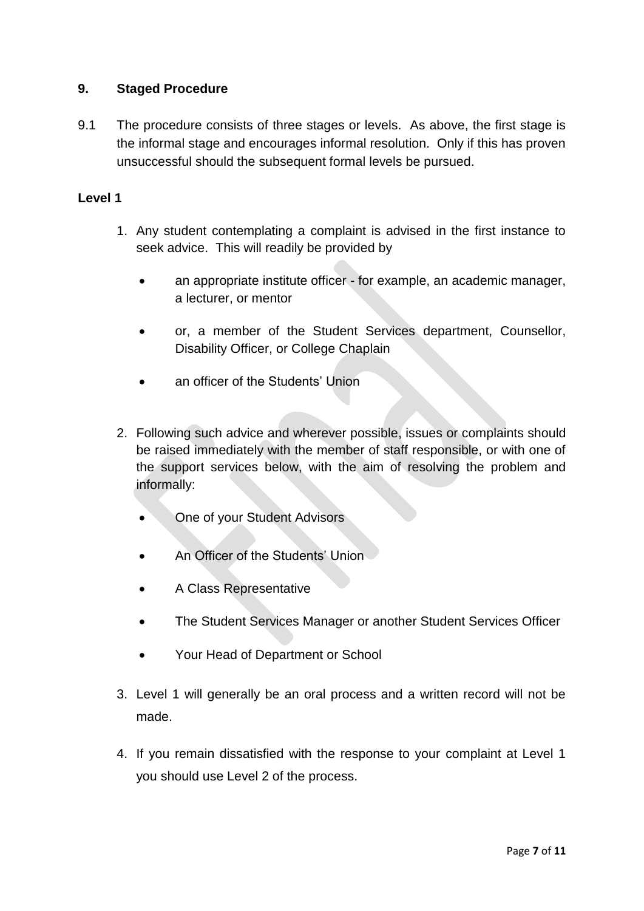### **9. Staged Procedure**

9.1 The procedure consists of three stages or levels. As above, the first stage is the informal stage and encourages informal resolution. Only if this has proven unsuccessful should the subsequent formal levels be pursued.

#### **Level 1**

- 1. Any student contemplating a complaint is advised in the first instance to seek advice. This will readily be provided by
	- an appropriate institute officer for example, an academic manager, a lecturer, or mentor
	- or, a member of the Student Services department, Counsellor, Disability Officer, or College Chaplain
	- an officer of the Students' Union
- 2. Following such advice and wherever possible, issues or complaints should be raised immediately with the member of staff responsible, or with one of the support services below, with the aim of resolving the problem and informally:
	- One of your Student Advisors
	- An Officer of the Students' Union
	- A Class Representative
	- The Student Services Manager or another Student Services Officer
	- Your Head of Department or School
- 3. Level 1 will generally be an oral process and a written record will not be made.
- 4. If you remain dissatisfied with the response to your complaint at Level 1 you should use Level 2 of the process.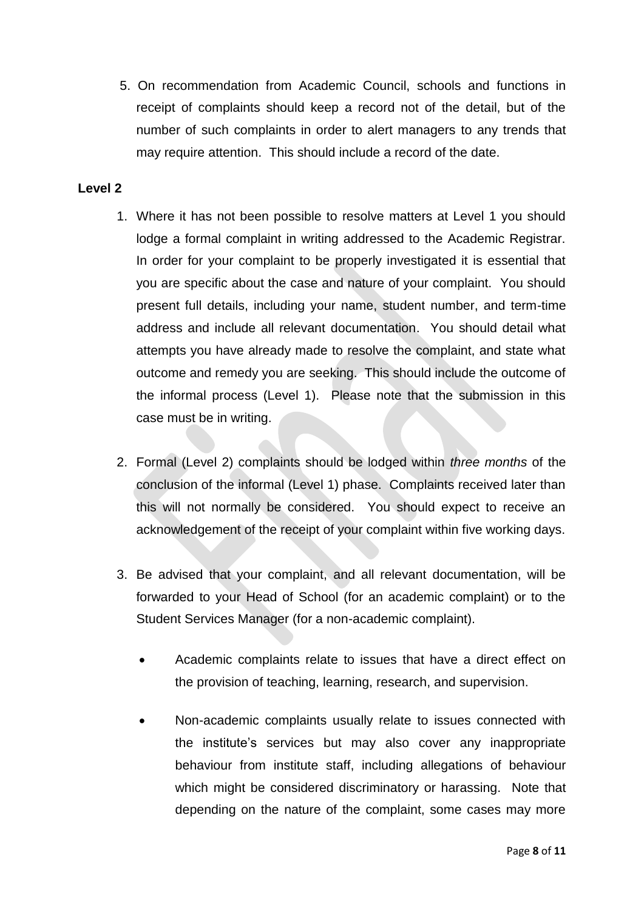5. On recommendation from Academic Council, schools and functions in receipt of complaints should keep a record not of the detail, but of the number of such complaints in order to alert managers to any trends that may require attention. This should include a record of the date.

#### **Level 2**

- 1. Where it has not been possible to resolve matters at Level 1 you should lodge a formal complaint in writing addressed to the Academic Registrar. In order for your complaint to be properly investigated it is essential that you are specific about the case and nature of your complaint. You should present full details, including your name, student number, and term-time address and include all relevant documentation. You should detail what attempts you have already made to resolve the complaint, and state what outcome and remedy you are seeking. This should include the outcome of the informal process (Level 1). Please note that the submission in this case must be in writing.
- 2. Formal (Level 2) complaints should be lodged within *three months* of the conclusion of the informal (Level 1) phase. Complaints received later than this will not normally be considered. You should expect to receive an acknowledgement of the receipt of your complaint within five working days.
- 3. Be advised that your complaint, and all relevant documentation, will be forwarded to your Head of School (for an academic complaint) or to the Student Services Manager (for a non-academic complaint).
	- Academic complaints relate to issues that have a direct effect on the provision of teaching, learning, research, and supervision.
	- Non-academic complaints usually relate to issues connected with the institute's services but may also cover any inappropriate behaviour from institute staff, including allegations of behaviour which might be considered discriminatory or harassing. Note that depending on the nature of the complaint, some cases may more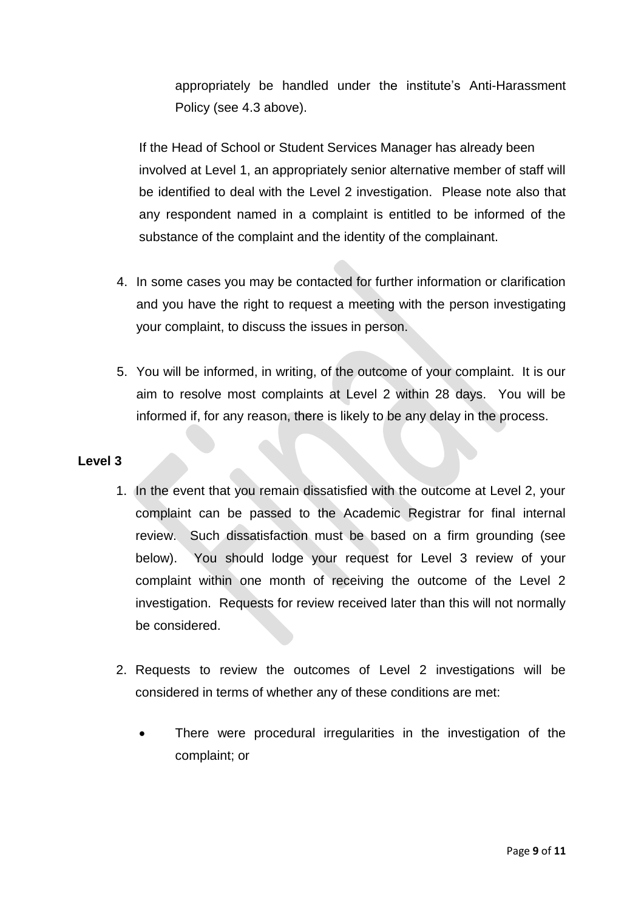appropriately be handled under the institute's Anti-Harassment Policy (see 4.3 above).

If the Head of School or Student Services Manager has already been involved at Level 1, an appropriately senior alternative member of staff will be identified to deal with the Level 2 investigation. Please note also that any respondent named in a complaint is entitled to be informed of the substance of the complaint and the identity of the complainant.

- 4. In some cases you may be contacted for further information or clarification and you have the right to request a meeting with the person investigating your complaint, to discuss the issues in person.
- 5. You will be informed, in writing, of the outcome of your complaint. It is our aim to resolve most complaints at Level 2 within 28 days. You will be informed if, for any reason, there is likely to be any delay in the process.

#### **Level 3**

- 1. In the event that you remain dissatisfied with the outcome at Level 2, your complaint can be passed to the Academic Registrar for final internal review. Such dissatisfaction must be based on a firm grounding (see below). You should lodge your request for Level 3 review of your complaint within one month of receiving the outcome of the Level 2 investigation. Requests for review received later than this will not normally be considered.
- 2. Requests to review the outcomes of Level 2 investigations will be considered in terms of whether any of these conditions are met:
	- There were procedural irregularities in the investigation of the complaint; or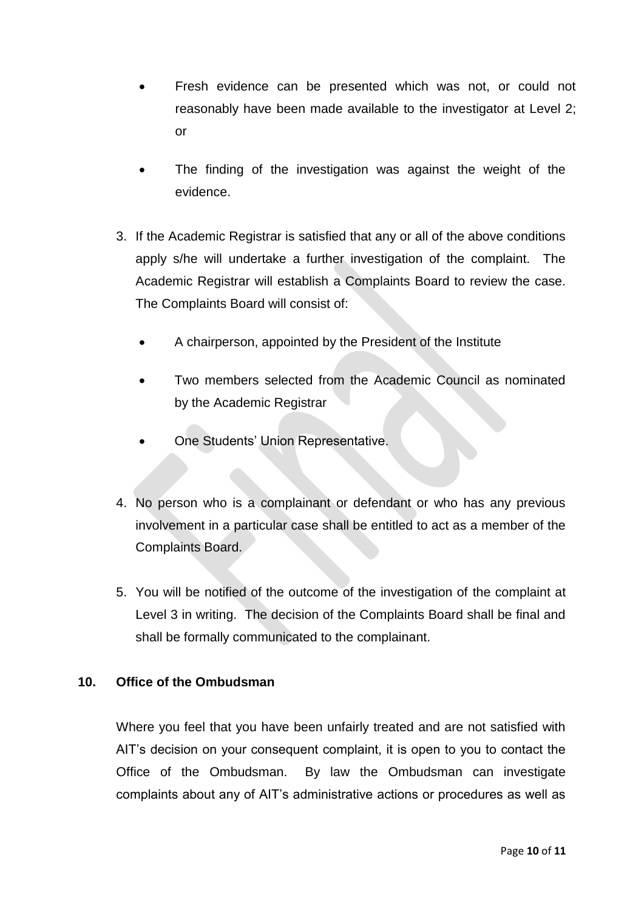- Fresh evidence can be presented which was not, or could not reasonably have been made available to the investigator at Level 2; or
- The finding of the investigation was against the weight of the evidence.
- 3. If the Academic Registrar is satisfied that any or all of the above conditions apply s/he will undertake a further investigation of the complaint. The Academic Registrar will establish a Complaints Board to review the case. The Complaints Board will consist of:
	- A chairperson, appointed by the President of the Institute
	- Two members selected from the Academic Council as nominated by the Academic Registrar
	- One Students' Union Representative.
- 4. No person who is a complainant or defendant or who has any previous involvement in a particular case shall be entitled to act as a member of the Complaints Board.
- 5. You will be notified of the outcome of the investigation of the complaint at Level 3 in writing. The decision of the Complaints Board shall be final and shall be formally communicated to the complainant.

# **10. Office of the Ombudsman**

Where you feel that you have been unfairly treated and are not satisfied with AIT's decision on your consequent complaint, it is open to you to contact the Office of the Ombudsman. By law the Ombudsman can investigate complaints about any of AIT's administrative actions or procedures as well as